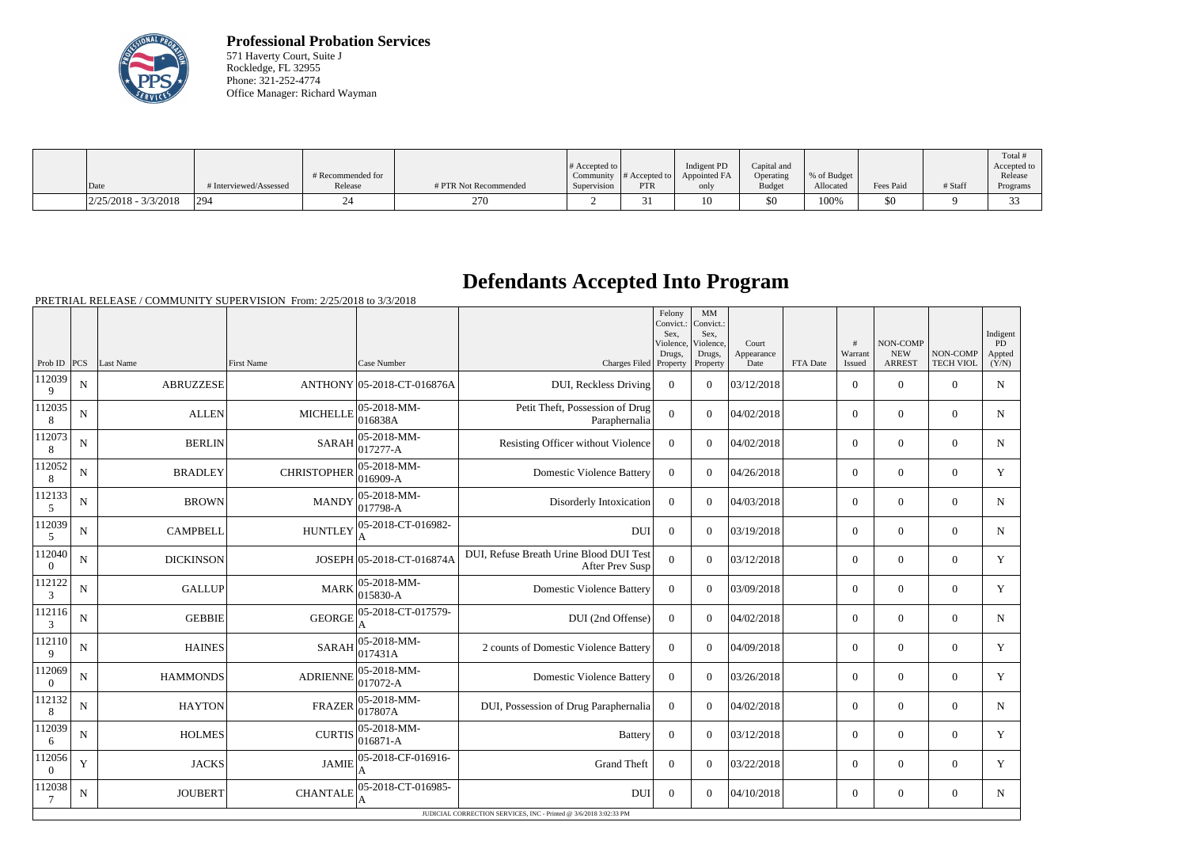

**Professional Probation Services** 571 Haverty Court, Suite J Rockledge, FL 32955 Phone: 321-252-4774 Office Manager: Richard Wayman

|                        |                      |                   |                       | # Accepted to |                                       | Indigent PD  | Capital and |             |           |         | Total<br>Accepted to |
|------------------------|----------------------|-------------------|-----------------------|---------------|---------------------------------------|--------------|-------------|-------------|-----------|---------|----------------------|
|                        |                      | # Recommended for |                       | Community     | $\parallel$ # Accepted to $\parallel$ | Appointed FA | Operating   | % of Budget |           |         | Release              |
| Date                   | Interviewed/Assessed | Release           | # PTR Not Recommended | Supervision   | <b>PTR</b>                            | only         | Budget      | Allocated   | Fees Paid | # Staff | Programs             |
| $2/25/2018 - 3/3/2018$ | 294                  |                   | 270                   |               |                                       |              | \$0         | 100%        | \$0       |         |                      |

## **Defendants Accepted Into Program**

PRETRIAL RELEASE / COMMUNITY SUPERVISION From: 2/25/2018 to 3/3/2018

|                    |   |                  |                                                       |                         |                                                                   | Felony<br>Convict.:<br>Sex.<br>Violence, | MM<br>Convict.:<br>Sex,<br>Violence. | Court              |          | #                 | NON-COMP                    |                              | Indigent<br>PD  |
|--------------------|---|------------------|-------------------------------------------------------|-------------------------|-------------------------------------------------------------------|------------------------------------------|--------------------------------------|--------------------|----------|-------------------|-----------------------------|------------------------------|-----------------|
| Prob ID PCS        |   | Last Name        | First Name                                            | Case Number             | Charges Filed Property                                            | Drugs,                                   | Drugs,<br>Property                   | Appearance<br>Date | FTA Date | Warrant<br>Issued | <b>NEW</b><br><b>ARREST</b> | NON-COMP<br><b>TECH VIOL</b> | Appted<br>(Y/N) |
| 112039<br>9        | N | <b>ABRUZZESE</b> | ANTHONY 05-2018-CT-016876A                            |                         | DUI, Reckless Driving                                             | $\overline{0}$                           | $\Omega$                             | 03/12/2018         |          | $\overline{0}$    | $\theta$                    | $\overline{0}$               | ${\bf N}$       |
| 112035<br>8        | N | <b>ALLEN</b>     | $ 05 - 2018 - MM -$<br><b>MICHELLE</b><br>016838A     |                         | Petit Theft, Possession of Drug<br>Paraphernalia                  | $\Omega$                                 | $\Omega$                             | 04/02/2018         |          | $\overline{0}$    | $\overline{0}$              | $\theta$                     | N               |
| 112073<br>8        | N | <b>BERLIN</b>    | $ 05 - 2018 - MM -$<br><b>SARAH</b><br>$ 017277 - A$  |                         | Resisting Officer without Violence                                | $\Omega$                                 | $\Omega$                             | 04/02/2018         |          | $\overline{0}$    | $\overline{0}$              | $\overline{0}$               | $\mathbf N$     |
| 112052<br>8        | N | <b>BRADLEY</b>   | 05-2018-MM-<br><b>CHRISTOPHER</b><br>016909-A         |                         | <b>Domestic Violence Battery</b>                                  | $\boldsymbol{0}$                         | $\Omega$                             | 04/26/2018         |          | $\overline{0}$    | $\mathbf{0}$                | $\overline{0}$               | Y               |
| 112133<br>5        | N | <b>BROWN</b>     | $ 05 - 2018 - MM -$<br><b>MANDY</b><br>$ 017798-A$    |                         | Disorderly Intoxication                                           | $\overline{0}$                           | $\Omega$                             | 04/03/2018         |          | $\overline{0}$    | $\theta$                    | $\overline{0}$               | N               |
| 112039<br>5        | N | <b>CAMPBELL</b>  | 05-2018-CT-016982-<br><b>HUNTLEY</b><br>A             |                         | <b>DUI</b>                                                        | $\overline{0}$                           | $\Omega$                             | 03/19/2018         |          | $\overline{0}$    | $\overline{0}$              | $\overline{0}$               | $\mathbf N$     |
| 112040<br>$\theta$ | N | <b>DICKINSON</b> | JOSEPH 05-2018-CT-016874A                             |                         | DUI, Refuse Breath Urine Blood DUI Test<br>After Prev Susp        | $\overline{0}$                           | $\Omega$                             | 03/12/2018         |          | $\overline{0}$    | $\theta$                    | $\overline{0}$               | Y               |
| 112122<br>3        | N | <b>GALLUP</b>    | 05-2018-MM-<br><b>MARK</b><br>015830-A                |                         | <b>Domestic Violence Battery</b>                                  | $\boldsymbol{0}$                         | $\Omega$                             | 03/09/2018         |          | $\overline{0}$    | $\theta$                    | $\overline{0}$               | Y               |
| 112116<br>3        | N | <b>GEBBIE</b>    | 05-2018-CT-017579-<br><b>GEORGE</b><br>A              |                         | DUI (2nd Offense)                                                 | $\overline{0}$                           | $\Omega$                             | 04/02/2018         |          | $\Omega$          | $\Omega$                    | $\theta$                     | $\mathbf N$     |
| 112110<br>9        | N | <b>HAINES</b>    | 05-2018-MM-<br><b>SARAH</b><br>017431A                |                         | 2 counts of Domestic Violence Battery                             | $\Omega$                                 | $\Omega$                             | 04/09/2018         |          | $\overline{0}$    | $\theta$                    | $\overline{0}$               | Y               |
| 112069<br>$\Omega$ | N | <b>HAMMONDS</b>  | <b>ADRIENNE</b>                                       | 05-2018-MM-<br>017072-A | <b>Domestic Violence Battery</b>                                  | $\overline{0}$                           | $\Omega$                             | 03/26/2018         |          | $\overline{0}$    | $\overline{0}$              | $\overline{0}$               | Y               |
| 112132<br>8        | N | <b>HAYTON</b>    | 05-2018-MM-<br><b>FRAZER</b><br>017807A               |                         | DUI, Possession of Drug Paraphernalia                             | $\overline{0}$                           | $\Omega$                             | 04/02/2018         |          | $\overline{0}$    | $\overline{0}$              | $\Omega$                     | ${\bf N}$       |
| 112039<br>6        | N | <b>HOLMES</b>    | $ 05 - 2018 - MM -$<br><b>CURTIS</b><br>$ 016871 - A$ |                         | <b>Battery</b>                                                    | $\boldsymbol{0}$                         | $\Omega$                             | 03/12/2018         |          | $\overline{0}$    | $\mathbf{0}$                | $\Omega$                     | Y               |
| 112056<br>$\Omega$ | Y | <b>JACKS</b>     | 05-2018-CF-016916-<br><b>JAMIE</b>                    |                         | <b>Grand Theft</b>                                                | $\Omega$                                 | $\Omega$                             | 03/22/2018         |          | $\overline{0}$    | $\theta$                    | $\overline{0}$               | Y               |
| 112038<br>7        | N | <b>JOUBERT</b>   | 05-2018-CT-016985-<br><b>CHANTALE</b>                 |                         | <b>DUI</b>                                                        | $\boldsymbol{0}$                         | $\Omega$                             | 04/10/2018         |          | $\overline{0}$    | $\overline{0}$              | $\overline{0}$               | N               |
|                    |   |                  |                                                       |                         | JUDICIAL CORRECTION SERVICES, INC - Printed @ 3/6/2018 3:02:33 PM |                                          |                                      |                    |          |                   |                             |                              |                 |